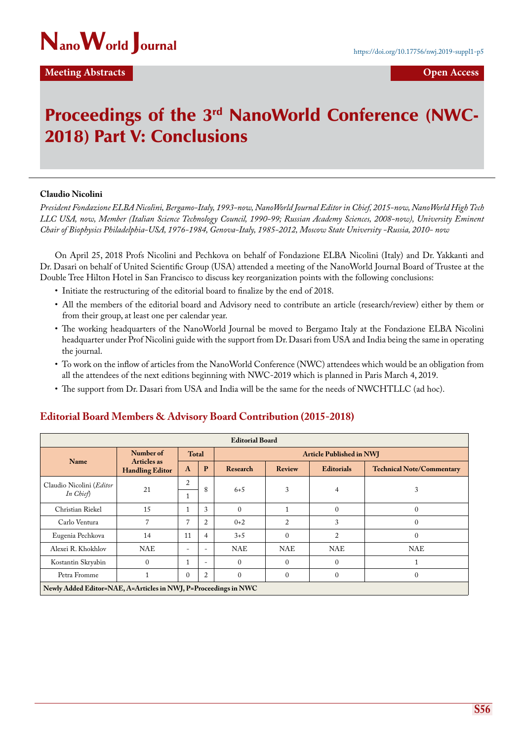

## **Meeting Abstracts Contracts Open Access**

# Proceedings of the 3<sup>rd</sup> NanoWorld Conference (NWC-2018) Part V: Conclusions

#### **Claudio Nicolini**

*President Fondazione ELBA Nicolini, Bergamo-Italy, 1993-now, NanoWorld Journal Editor in Chief, 2015-now, NanoWorld High Tech LLC USA, now, Member (Italian Science Technology Council, 1990-99; Russian Academy Sciences, 2008-now), University Eminent Chair of Biophysics Philadelphia-USA, 1976-1984, Genova-Italy, 1985-2012, Moscow State University -Russia, 2010- now*

On April 25, 2018 Profs Nicolini and Pechkova on behalf of Fondazione ELBA Nicolini (Italy) and Dr. Yakkanti and Dr. Dasari on behalf of United Scientific Group (USA) attended a meeting of the NanoWorld Journal Board of Trustee at the Double Tree Hilton Hotel in San Francisco to discuss key reorganization points with the following conclusions:

- Initiate the restructuring of the editorial board to finalize by the end of 2018.
- All the members of the editorial board and Advisory need to contribute an article (research/review) either by them or from their group, at least one per calendar year.
- The working headquarters of the NanoWorld Journal be moved to Bergamo Italy at the Fondazione ELBA Nicolini headquarter under Prof Nicolini guide with the support from Dr. Dasari from USA and India being the same in operating the journal.
- To work on the inflow of articles from the NanoWorld Conference (NWC) attendees which would be an obligation from all the attendees of the next editions beginning with NWC-2019 which is planned in Paris March 4, 2019.
- The support from Dr. Dasari from USA and India will be the same for the needs of NWCHTLLC (ad hoc).

## **Editorial Board Members & Advisory Board Contribution (2015-2018)**

| <b>Editorial Board</b>                                          |                                                    |                          |                          |                                 |                |                   |                                  |
|-----------------------------------------------------------------|----------------------------------------------------|--------------------------|--------------------------|---------------------------------|----------------|-------------------|----------------------------------|
| Name                                                            | Number of<br>Articles as<br><b>Handling Editor</b> | <b>Total</b>             |                          | <b>Article Published in NWJ</b> |                |                   |                                  |
|                                                                 |                                                    | $\mathbf{A}$             | P                        | Research                        | <b>Review</b>  | <b>Editorials</b> | <b>Technical Note/Commentary</b> |
| Claudio Nicolini (Editor<br>In Chief)                           | 21                                                 | 2                        | 8                        | $6 + 5$                         | 3              | 4                 | 3                                |
|                                                                 |                                                    | T                        |                          |                                 |                |                   |                                  |
| Christian Riekel                                                | 15                                                 | 1                        | 3                        | $\Omega$                        |                | $\Omega$          | $\overline{0}$                   |
| Carlo Ventura                                                   |                                                    | 7                        | $\overline{2}$           | $0+2$                           | $\overline{2}$ | 3                 | $\Omega$                         |
| Eugenia Pechkova                                                | 14                                                 | 11                       | $\overline{4}$           | $3 + 5$                         | $\theta$       | $\overline{c}$    | $\mathbf{0}$                     |
| Alexei R. Khokhlov                                              | <b>NAE</b>                                         | $\overline{\phantom{0}}$ | $\overline{a}$           | <b>NAE</b>                      | <b>NAE</b>     | <b>NAE</b>        | <b>NAE</b>                       |
| Kostantin Skryabin                                              | $\Omega$                                           | $\mathbf{1}$             | $\overline{\phantom{a}}$ | $\Omega$                        | $\Omega$       | $\Omega$          |                                  |
| Petra Fromme                                                    |                                                    | $\mathbf{0}$             | $\overline{2}$           | $\Omega$                        | $\Omega$       | $\Omega$          | $\Omega$                         |
| Newly Added Editor=NAE, A=Articles in NWJ, P=Proceedings in NWC |                                                    |                          |                          |                                 |                |                   |                                  |